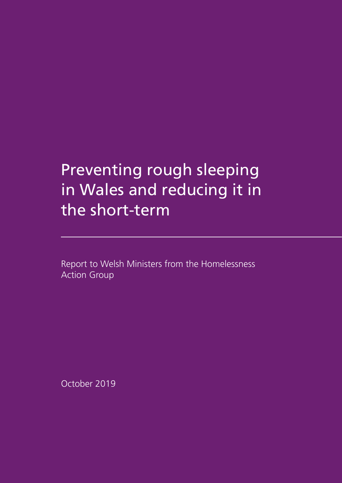# Preventing rough sleeping in Wales and reducing it in the short-term

Report to Welsh Ministers from the Homelessness Action Group

October 2019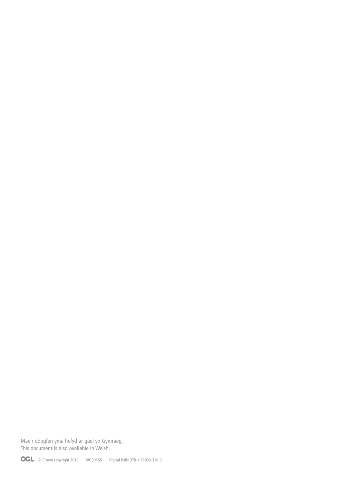Mae'r ddogfen yma hefyd ar gael yn Gymraeg. This document is also available in Welsh.

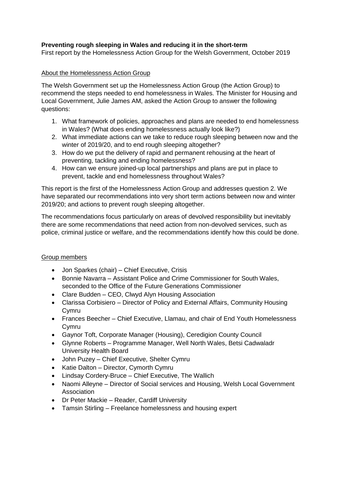# **Preventing rough sleeping in Wales and reducing it in the short-term**

First report by the Homelessness Action Group for the Welsh Government, October 2019

## About the Homelessness Action Group

The Welsh Government set up the Homelessness Action Group (the Action Group) to recommend the steps needed to end homelessness in Wales. The Minister for Housing and Local Government, Julie James AM, asked the Action Group to answer the following questions:

- 1. What framework of policies, approaches and plans are needed to end homelessness in Wales? (What does ending homelessness actually look like?)
- 2. What immediate actions can we take to reduce rough sleeping between now and the winter of 2019/20, and to end rough sleeping altogether?
- 3. How do we put the delivery of rapid and permanent rehousing at the heart of preventing, tackling and ending homelessness?
- 4. How can we ensure joined-up local partnerships and plans are put in place to prevent, tackle and end homelessness throughout Wales?

This report is the first of the Homelessness Action Group and addresses question 2. We have separated our recommendations into very short term actions between now and winter 2019/20; and actions to prevent rough sleeping altogether.

The recommendations focus particularly on areas of devolved responsibility but inevitably there are some recommendations that need action from non-devolved services, such as police, criminal justice or welfare, and the recommendations identify how this could be done.

#### Group members

- Jon Sparkes (chair) Chief Executive, Crisis
- Bonnie Navarra Assistant Police and Crime Commissioner for South Wales, seconded to the Office of the Future Generations Commissioner
- Clare Budden CEO, Clwyd Alyn Housing Association
- Clarissa Corbisiero Director of Policy and External Affairs, Community Housing Cymru
- Frances Beecher Chief Executive, Llamau, and chair of End Youth Homelessness Cymru
- Gaynor Toft, Corporate Manager (Housing), Ceredigion County Council
- Glynne Roberts Programme Manager, Well North Wales, Betsi Cadwaladr University Health Board
- John Puzey Chief Executive, Shelter Cymru
- Katie Dalton Director, Cymorth Cymru
- Lindsay Cordery-Bruce Chief Executive, The Wallich
- Naomi Alleyne Director of Social services and Housing, Welsh Local Government Association
- Dr Peter Mackie Reader, Cardiff University
- Tamsin Stirling Freelance homelessness and housing expert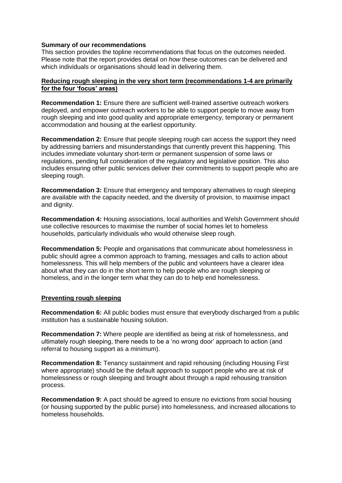#### **Summary of our recommendations**

This section provides the topline recommendations that focus on the outcomes needed. Please note that the report provides detail on *how* these outcomes can be delivered and which individuals or organisations should lead in delivering them.

#### **Reducing rough sleeping in the very short term (recommendations 1-4 are primarily for the four 'focus' areas)**

**Recommendation 1:** Ensure there are sufficient well-trained assertive outreach workers deployed, and empower outreach workers to be able to support people to move away from rough sleeping and into good quality and appropriate emergency, temporary or permanent accommodation and housing at the earliest opportunity.

**Recommendation 2:** Ensure that people sleeping rough can access the support they need by addressing barriers and misunderstandings that currently prevent this happening. This includes immediate voluntary short-term or permanent suspension of some laws or regulations, pending full consideration of the regulatory and legislative position. This also includes ensuring other public services deliver their commitments to support people who are sleeping rough.

**Recommendation 3:** Ensure that emergency and temporary alternatives to rough sleeping are available with the capacity needed, and the diversity of provision, to maximise impact and dignity.

**Recommendation 4:** Housing associations, local authorities and Welsh Government should use collective resources to maximise the number of social homes let to homeless households, particularly individuals who would otherwise sleep rough.

**Recommendation 5:** People and organisations that communicate about homelessness in public should agree a common approach to framing, messages and calls to action about homelessness. This will help members of the public and volunteers have a clearer idea about what they can do in the short term to help people who are rough sleeping or homeless, and in the longer term what they can do to help end homelessness.

#### **Preventing rough sleeping**

**Recommendation 6:** All public bodies must ensure that everybody discharged from a public institution has a sustainable housing solution.

**Recommendation 7:** Where people are identified as being at risk of homelessness, and ultimately rough sleeping, there needs to be a 'no wrong door' approach to action (and referral to housing support as a minimum).

**Recommendation 8:** Tenancy sustainment and rapid rehousing (including Housing First where appropriate) should be the default approach to support people who are at risk of homelessness or rough sleeping and brought about through a rapid rehousing transition process.

**Recommendation 9:** A pact should be agreed to ensure no evictions from social housing (or housing supported by the public purse) into homelessness, and increased allocations to homeless households.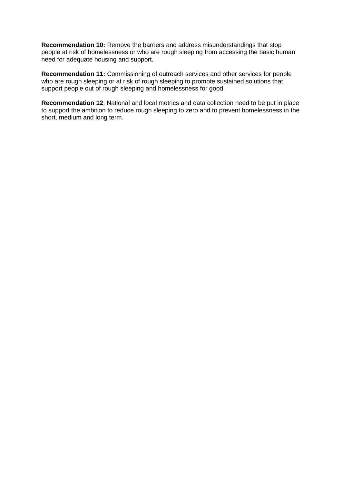**Recommendation 10:** Remove the barriers and address misunderstandings that stop people at risk of homelessness or who are rough sleeping from accessing the basic human need for adequate housing and support.

**Recommendation 11:** Commissioning of outreach services and other services for people who are rough sleeping or at risk of rough sleeping to promote sustained solutions that support people out of rough sleeping and homelessness for good.

**Recommendation 12**: National and local metrics and data collection need to be put in place to support the ambition to reduce rough sleeping to zero and to prevent homelessness in the short, medium and long term.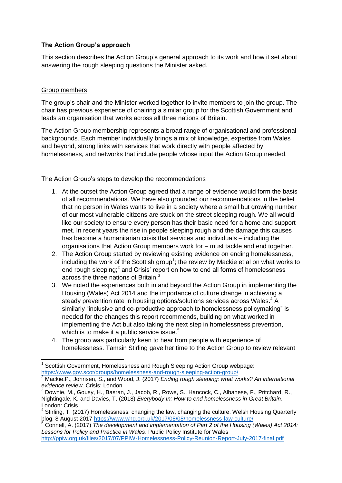# **The Action Group's approach**

This section describes the Action Group's general approach to its work and how it set about answering the rough sleeping questions the Minister asked.

# Group members

 $\overline{a}$ 

The group's chair and the Minister worked together to invite members to join the group. The chair has previous experience of chairing a similar group for the Scottish Government and leads an organisation that works across all three nations of Britain.

The Action Group membership represents a broad range of organisational and professional backgrounds. Each member individually brings a mix of knowledge, expertise from Wales and beyond, strong links with services that work directly with people affected by homelessness, and networks that include people whose input the Action Group needed.

# The Action Group's steps to develop the recommendations

- 1. At the outset the Action Group agreed that a range of evidence would form the basis of all recommendations. We have also grounded our recommendations in the belief that no person in Wales wants to live in a society where a small but growing number of our most vulnerable citizens are stuck on the street sleeping rough. We all would like our society to ensure every person has their basic need for a home and support met. In recent years the rise in people sleeping rough and the damage this causes has become a humanitarian crisis that services and individuals – including the organisations that Action Group members work for – must tackle and end together.
- 2. The Action Group started by reviewing existing evidence on ending homelessness, including the work of the Scottish group<sup>1</sup>; the review by Mackie et al on what works to end rough sleeping;<sup>2</sup> and Crisis' report on how to end all forms of homelessness across the three nations of Britain.<sup>3</sup>
- 3. We noted the experiences both in and beyond the Action Group in implementing the Housing (Wales) Act 2014 and the importance of culture change in achieving a steady prevention rate in housing options/solutions services across Wales.<sup>4</sup> A similarly "inclusive and co-productive approach to homelessness policymaking" is needed for the changes this report recommends, building on what worked in implementing the Act but also taking the next step in homelessness prevention, which is to make it a public service issue.<sup>5</sup>
- 4. The group was particularly keen to hear from people with experience of homelessness. Tamsin Stirling gave her time to the Action Group to review relevant

<sup>&</sup>lt;sup>1</sup> Scottish Government, Homelessness and Rough Sleeping Action Group webpage: <https://www.gov.scot/groups/homelessness-and-rough-sleeping-action-group/>

<sup>2</sup> Mackie,P., Johnsen, S., and Wood, J. (2017) *Ending rough sleeping: what works? An international evidence review*. Crisis: London

<sup>3</sup> Downie, M., Gousy, H., Basran, J., Jacob, R., Rowe, S., Hancock, C., Albanese, F., Pritchard, R., Nightingale, K. and Davies, T. (2018) *Everybody In: How to end homelessness in Great Britain*. London: Crisis.

 $4$  Stirling, T. (2017) Homelessness: changing the law, changing the culture. Welsh Housing Quarterly blog, 8 August 2017<https://www.whq.org.uk/2017/08/08/homelessness-law-culture/><br><sup>5</sup> Connell A (2017) The development of the state of the state of the state of the state of the state of the state of the state of the state o

<sup>5</sup> Connell, A. (2017) *The development and implementation of Part 2 of the Housing (Wales) Act 2014: Lessons for Policy and Practice in Wales*. Public Policy Institute for Wales

<http://ppiw.org.uk/files/2017/07/PPIW-Homelessness-Policy-Reunion-Report-July-2017-final.pdf>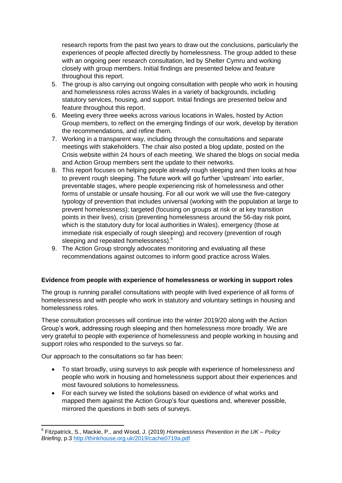research reports from the past two years to draw out the conclusions, particularly the experiences of people affected directly by homelessness. The group added to these with an ongoing peer research consultation, led by Shelter Cymru and working closely with group members. Initial findings are presented below and feature throughout this report.

- 5. The group is also carrying out ongoing consultation with people who work in housing and homelessness roles across Wales in a variety of backgrounds, including statutory services, housing, and support. Initial findings are presented below and feature throughout this report.
- 6. Meeting every three weeks across various locations in Wales, hosted by Action Group members, to reflect on the emerging findings of our work, develop by iteration the recommendations, and refine them.
- 7. Working in a transparent way, including through the consultations and separate meetings with stakeholders. The chair also posted a blog update, posted on the Crisis website within 24 hours of each meeting. We shared the blogs on social media and Action Group members sent the update to their networks.
- 8. This report focuses on helping people already rough sleeping and then looks at how to prevent rough sleeping. The future work will go further 'upstream' into earlier, preventable stages, where people experiencing risk of homelessness and other forms of unstable or unsafe housing. For all our work we will use the five-category typology of prevention that includes universal (working with the population at large to prevent homelessness); targeted (focusing on groups at risk or at key transition points in their lives), crisis (preventing homelessness around the 56-day risk point, which is the statutory duty for local authorities in Wales), emergency (those at immediate risk especially of rough sleeping) and recovery (prevention of rough sleeping and repeated homelessness).<sup>6</sup>
- 9. The Action Group strongly advocates monitoring and evaluating all these recommendations against outcomes to inform good practice across Wales.

#### **Evidence from people with experience of homelessness or working in support roles**

The group is running parallel consultations with people with lived experience of all forms of homelessness and with people who work in statutory and voluntary settings in housing and homelessness roles.

These consultation processes will continue into the winter 2019/20 along with the Action Group's work, addressing rough sleeping and then homelessness more broadly. We are very grateful to people with experience of homelessness and people working in housing and support roles who responded to the surveys so far.

Our approach to the consultations so far has been:

- To start broadly, using surveys to ask people with experience of homelessness and people who work in housing and homelessness support about their experiences and most favoured solutions to homelessness.
- For each survey we listed the solutions based on evidence of what works and mapped them against the Action Group's four questions and, wherever possible, mirrored the questions in both sets of surveys.

 6 Fitzpatrick, S., Mackie, P., and Wood, J. (2019) *Homelessness Prevention in the UK – Policy Briefing*, p.3<http://thinkhouse.org.uk/2019/cache0719a.pdf>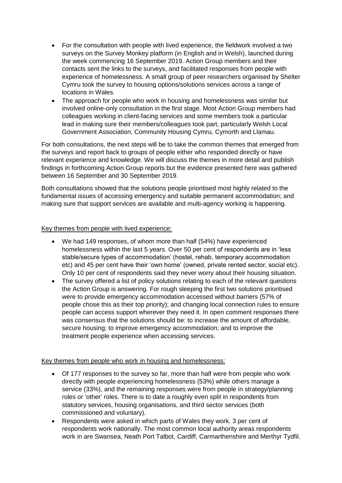- For the consultation with people with lived experience, the fieldwork involved a two surveys on the Survey Monkey platform (in English and in Welsh), launched during the week commencing 16 September 2019. Action Group members and their contacts sent the links to the surveys, and facilitated responses from people with experience of homelessness. A small group of peer researchers organised by Shelter Cymru took the survey to housing options/solutions services across a range of locations in Wales.
- The approach for people who work in housing and homelessness was similar but involved online-only consultation in the first stage. Most Action Group members had colleagues working in client-facing services and some members took a particular lead in making sure their members/colleagues took part, particularly Welsh Local Government Association, Community Housing Cymru, Cymorth and Llamau.

For both consultations, the next steps will be to take the common themes that emerged from the surveys and report back to groups of people either who responded directly or have relevant experience and knowledge. We will discuss the themes in more detail and publish findings in forthcoming Action Group reports but the evidence presented here was gathered between 16 September and 30 September 2019.

Both consultations showed that the solutions people prioritised most highly related to the fundamental issues of accessing emergency and suitable permanent accommodation; and making sure that support services are available and multi-agency working is happening.

#### Key themes from people with lived experience:

- We had 149 responses, of whom more than half (54%) have experienced homelessness within the last 5 years. Over 50 per cent of respondents are in 'less stable/secure types of accommodation' (hostel, rehab, temporary accommodation etc) and 45 per cent have their 'own home' (owned, private rented sector, social etc). Only 10 per cent of respondents said they never worry about their housing situation.
- The survey offered a list of policy solutions relating to each of the relevant questions the Action Group is answering. For rough sleeping the first two solutions prioritised were to provide emergency accommodation accessed without barriers (57% of people chose this as their top priority); and changing local connection rules to ensure people can access support wherever they need it. In open comment responses there was consensus that the solutions should be: to increase the amount of affordable, secure housing; to improve emergency accommodation; and to improve the treatment people experience when accessing services.

#### Key themes from people who work in housing and homelessness:

- Of 177 responses to the survey so far, more than half were from people who work directly with people experiencing homelessness (53%) while others manage a service (33%), and the remaining responses were from people in strategy/planning roles or 'other' roles. There is to date a roughly even split in respondents from statutory services, housing organisations, and third sector services (both commissioned and voluntary).
- Respondents were asked in which parts of Wales they work. 3 per cent of respondents work nationally. The most common local authority areas respondents work in are Swansea, Neath Port Talbot, Cardiff, Carmarthenshire and Merthyr Tydfil.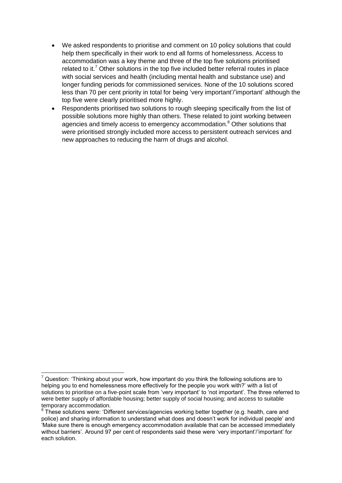- We asked respondents to prioritise and comment on 10 policy solutions that could help them specifically in their work to end all forms of homelessness. Access to accommodation was a key theme and three of the top five solutions prioritised related to it.<sup>7</sup> Other solutions in the top five included better referral routes in place with social services and health (including mental health and substance use) and longer funding periods for commissioned services. None of the 10 solutions scored less than 70 per cent priority in total for being 'very important'/'important' although the top five were clearly prioritised more highly.
- Respondents prioritised two solutions to rough sleeping specifically from the list of possible solutions more highly than others. These related to joint working between agencies and timely access to emergency accommodation.<sup>8</sup> Other solutions that were prioritised strongly included more access to persistent outreach services and new approaches to reducing the harm of drugs and alcohol.

**.** 

 $<sup>7</sup>$  Question: 'Thinking about your work, how important do you think the following solutions are to</sup> helping you to end homelessness more effectively for the people you work with?' with a list of solutions to prioritise on a five-point scale from 'very important' to 'not important'. The three referred to were better supply of affordable housing; better supply of social housing; and access to suitable temporary accommodation.

<sup>&</sup>lt;sup>8</sup> These solutions were: 'Different services/agencies working better together (e.g. health, care and police) and sharing information to understand what does and doesn't work for individual people' and 'Make sure there is enough emergency accommodation available that can be accessed immediately without barriers'. Around 97 per cent of respondents said these were 'very important'/'important' for each solution.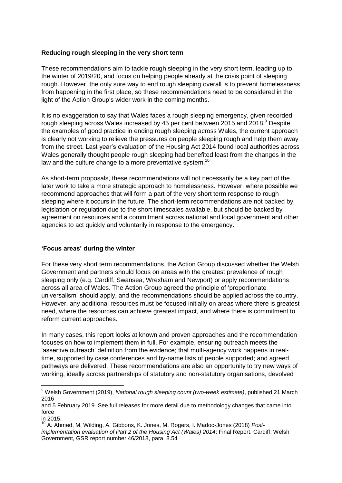## **Reducing rough sleeping in the very short term**

These recommendations aim to tackle rough sleeping in the very short term, leading up to the winter of 2019/20, and focus on helping people already at the crisis point of sleeping rough. However, the only sure way to end rough sleeping overall is to prevent homelessness from happening in the first place, so these recommendations need to be considered in the light of the Action Group's wider work in the coming months.

It is no exaggeration to say that Wales faces a rough sleeping emergency, given recorded rough sleeping across Wales increased by 45 per cent between 2015 and 2018.<sup>9</sup> Despite the examples of good practice in ending rough sleeping across Wales, the current approach is clearly not working to relieve the pressures on people sleeping rough and help them away from the street. Last year's evaluation of the Housing Act 2014 found local authorities across Wales generally thought people rough sleeping had benefited least from the changes in the law and the culture change to a more preventative system.<sup>10</sup>

As short-term proposals, these recommendations will not necessarily be a key part of the later work to take a more strategic approach to homelessness. However, where possible we recommend approaches that will form a part of the very short term response to rough sleeping where it occurs in the future. The short-term recommendations are not backed by legislation or regulation due to the short timescales available, but should be backed by agreement on resources and a commitment across national and local government and other agencies to act quickly and voluntarily in response to the emergency.

# **'Focus areas' during the winter**

For these very short term recommendations, the Action Group discussed whether the Welsh Government and partners should focus on areas with the greatest prevalence of rough sleeping only (e.g. Cardiff, Swansea, Wrexham and Newport) or apply recommendations across all area of Wales. The Action Group agreed the principle of 'proportionate universalism' should apply, and the recommendations should be applied across the country. However, any additional resources must be focused initially on areas where there is greatest need, where the resources can achieve greatest impact, and where there is commitment to reform current approaches.

In many cases, this report looks at known and proven approaches and the recommendation focuses on how to implement them in full. For example, ensuring outreach meets the 'assertive outreach' definition from the evidence; that multi-agency work happens in realtime, supported by case conferences and by-name lists of people supported; and agreed pathways are delivered. These recommendations are also an opportunity to try new ways of working, ideally across partnerships of statutory and non-statutory organisations, devolved

**.** 

<sup>9</sup> Welsh Government (2019), *National rough sleeping count (two-week estimate)*, published 21 March 2016

and 5 February 2019. See full releases for more detail due to methodology changes that came into force

in 2015.

<sup>10</sup> A. Ahmed, M. Wilding, A. Gibbons, K. Jones, M. Rogers, I. Madoc-Jones (2018) *Postimplementation evaluation of Part 2 of the Housing Act (Wales) 2014*: Final Report. Cardiff: Welsh Government, GSR report number 46/2018, para. 8.54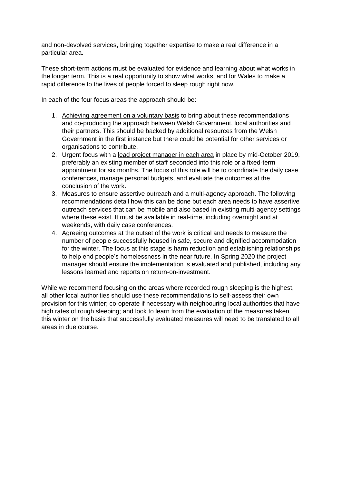and non-devolved services, bringing together expertise to make a real difference in a particular area.

These short-term actions must be evaluated for evidence and learning about what works in the longer term. This is a real opportunity to show what works, and for Wales to make a rapid difference to the lives of people forced to sleep rough right now.

In each of the four focus areas the approach should be:

- 1. Achieving agreement on a voluntary basis to bring about these recommendations and co-producing the approach between Welsh Government, local authorities and their partners. This should be backed by additional resources from the Welsh Government in the first instance but there could be potential for other services or organisations to contribute.
- 2. Urgent focus with a lead project manager in each area in place by mid-October 2019, preferably an existing member of staff seconded into this role or a fixed-term appointment for six months. The focus of this role will be to coordinate the daily case conferences, manage personal budgets, and evaluate the outcomes at the conclusion of the work.
- 3. Measures to ensure assertive outreach and a multi-agency approach. The following recommendations detail how this can be done but each area needs to have assertive outreach services that can be mobile and also based in existing multi-agency settings where these exist. It must be available in real-time, including overnight and at weekends, with daily case conferences.
- 4. Agreeing outcomes at the outset of the work is critical and needs to measure the number of people successfully housed in safe, secure and dignified accommodation for the winter. The focus at this stage is harm reduction and establishing relationships to help end people's homelessness in the near future. In Spring 2020 the project manager should ensure the implementation is evaluated and published, including any lessons learned and reports on return-on-investment.

While we recommend focusing on the areas where recorded rough sleeping is the highest, all other local authorities should use these recommendations to self-assess their own provision for this winter; co-operate if necessary with neighbouring local authorities that have high rates of rough sleeping; and look to learn from the evaluation of the measures taken this winter on the basis that successfully evaluated measures will need to be translated to all areas in due course.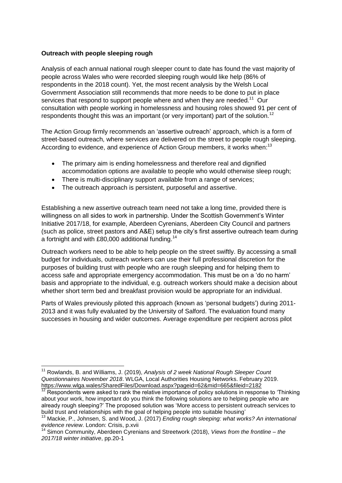## **Outreach with people sleeping rough**

Analysis of each annual national rough sleeper count to date has found the vast majority of people across Wales who were recorded sleeping rough would like help (86% of respondents in the 2018 count). Yet, the most recent analysis by the Welsh Local Government Association still recommends that more needs to be done to put in place services that respond to support people where and when they are needed.<sup>11</sup> Our consultation with people working in homelessness and housing roles showed 91 per cent of respondents thought this was an important (or very important) part of the solution.<sup>12</sup>

The Action Group firmly recommends an 'assertive outreach' approach, which is a form of street-based outreach, where services are delivered on the street to people rough sleeping. According to evidence, and experience of Action Group members, it works when:<sup>13</sup>

- The primary aim is ending homelessness and therefore real and dignified accommodation options are available to people who would otherwise sleep rough;
- There is multi-disciplinary support available from a range of services:
- The outreach approach is persistent, purposeful and assertive.

Establishing a new assertive outreach team need not take a long time, provided there is willingness on all sides to work in partnership. Under the Scottish Government's Winter Initiative 2017/18, for example, Aberdeen Cyrenians, Aberdeen City Council and partners (such as police, street pastors and A&E) setup the city's first assertive outreach team during a fortnight and with £80,000 additional funding.<sup>14</sup>

Outreach workers need to be able to help people on the street swiftly. By accessing a small budget for individuals, outreach workers can use their full professional discretion for the purposes of building trust with people who are rough sleeping and for helping them to access safe and appropriate emergency accommodation. This must be on a 'do no harm' basis and appropriate to the individual, e.g. outreach workers should make a decision about whether short term bed and breakfast provision would be appropriate for an individual.

Parts of Wales previously piloted this approach (known as 'personal budgets') during 2011- 2013 and it was fully evaluated by the University of Salford. The evaluation found many successes in housing and wider outcomes. Average expenditure per recipient across pilot

**<sup>.</sup>** <sup>11</sup> Rowlands, B. and Williams, J. (2019), *Analysis of 2 week National Rough Sleeper Count Questionnaires November 2018*. WLGA, Local Authorities Housing Networks. February 2019. https://www.wlga.wales/SharedFiles/Download.aspx?pageid=62&mid=665&fileid=2182

 $12$  Respondents were asked to rank the relative importance of policy solutions in response to 'Thinking' about your work, how important do you think the following solutions are to helping people who are already rough sleeping?' The proposed solution was 'More access to persistent outreach services to build trust and relationships with the goal of helping people into suitable housing'

<sup>13</sup> Mackie, P., Johnsen, S. and Wood, J. (2017) *Ending rough sleeping: what works? An international evidence review*. London: Crisis, p.xvii

<sup>14</sup> Simon Community, Aberdeen Cyrenians and Streetwork (2018), *Views from the frontline – the 2017/18 winter initiative*, pp.20-1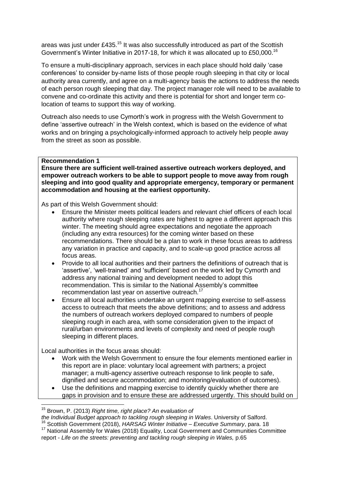areas was just under £435.<sup>15</sup> It was also successfully introduced as part of the Scottish Government's Winter Initiative in 2017-18, for which it was allocated up to £50,000.<sup>16</sup>

To ensure a multi-disciplinary approach, services in each place should hold daily 'case conferences' to consider by-name lists of those people rough sleeping in that city or local authority area currently, and agree on a multi-agency basis the actions to address the needs of each person rough sleeping that day. The project manager role will need to be available to convene and co-ordinate this activity and there is potential for short and longer term colocation of teams to support this way of working.

Outreach also needs to use Cymorth's work in progress with the Welsh Government to define 'assertive outreach' in the Welsh context, which is based on the evidence of what works and on bringing a psychologically-informed approach to actively help people away from the street as soon as possible.

## **Recommendation 1**

**Ensure there are sufficient well-trained assertive outreach workers deployed, and empower outreach workers to be able to support people to move away from rough sleeping and into good quality and appropriate emergency, temporary or permanent accommodation and housing at the earliest opportunity.**

As part of this Welsh Government should:

- Ensure the Minister meets political leaders and relevant chief officers of each local authority where rough sleeping rates are highest to agree a different approach this winter. The meeting should agree expectations and negotiate the approach (including any extra resources) for the coming winter based on these recommendations. There should be a plan to work in these focus areas to address any variation in practice and capacity, and to scale-up good practice across all focus areas.
- Provide to all local authorities and their partners the definitions of outreach that is 'assertive', 'well-trained' and 'sufficient' based on the work led by Cymorth and address any national training and development needed to adopt this recommendation. This is similar to the National Assembly's committee recommendation last year on assertive outreach.<sup>17</sup>
- Ensure all local authorities undertake an urgent mapping exercise to self-assess access to outreach that meets the above definitions; and to assess and address the numbers of outreach workers deployed compared to numbers of people sleeping rough in each area, with some consideration given to the impact of rural/urban environments and levels of complexity and need of people rough sleeping in different places.

Local authorities in the focus areas should:

 $\overline{\phantom{a}}$ 

- Work with the Welsh Government to ensure the four elements mentioned earlier in this report are in place: voluntary local agreement with partners; a project manager; a multi-agency assertive outreach response to link people to safe, dignified and secure accommodation; and monitoring/evaluation of outcomes).
- Use the definitions and mapping exercise to identify quickly whether there are gaps in provision and to ensure these are addressed urgently. This should build on

<sup>16</sup> Scottish Government (2018), *HARSAG Winter Initiative – Executive Summary*, para. 18 <sup>17</sup> National Assembly for Wales (2018) Equality, Local Government and Communities Committee report - *Life on the streets: preventing and tackling rough sleeping in Wales,* p.65

<sup>15</sup> Brown, P. (2013) *Right time, right place? An evaluation of* 

*the Individual Budget approach to tackling rough sleeping in Wales*. University of Salford.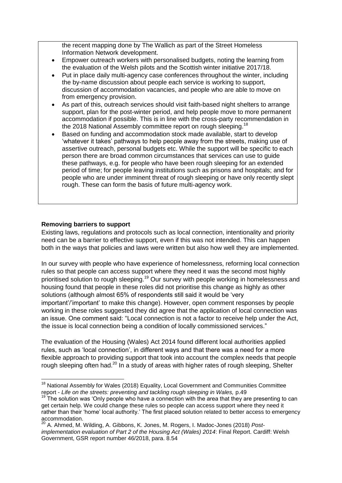the recent mapping done by The Wallich as part of the Street Homeless Information Network development.

- Empower outreach workers with personalised budgets, noting the learning from the evaluation of the Welsh pilots and the Scottish winter initiative 2017/18.
- Put in place daily multi-agency case conferences throughout the winter, including the by-name discussion about people each service is working to support, discussion of accommodation vacancies, and people who are able to move on from emergency provision.
- As part of this, outreach services should visit faith-based night shelters to arrange support, plan for the post-winter period, and help people move to more permanent accommodation if possible. This is in line with the cross-party recommendation in the 2018 National Assembly committee report on rough sleeping.<sup>18</sup>
- Based on funding and accommodation stock made available, start to develop 'whatever it takes' pathways to help people away from the streets, making use of assertive outreach, personal budgets etc. While the support will be specific to each person there are broad common circumstances that services can use to guide these pathways, e.g. for people who have been rough sleeping for an extended period of time; for people leaving institutions such as prisons and hospitals; and for people who are under imminent threat of rough sleeping or have only recently slept rough. These can form the basis of future multi-agency work.

#### **Removing barriers to support**

Existing laws, regulations and protocols such as local connection, intentionality and priority need can be a barrier to effective support, even if this was not intended. This can happen both in the ways that policies and laws were written but also how well they are implemented.

In our survey with people who have experience of homelessness, reforming local connection rules so that people can access support where they need it was the second most highly prioritised solution to rough sleeping.<sup>19</sup> Our survey with people working in homelessness and housing found that people in these roles did not prioritise this change as highly as other solutions (although almost 65% of respondents still said it would be 'very important'/'important' to make this change). However, open comment responses by people working in these roles suggested they did agree that the application of local connection was an issue. One comment said: "Local connection is not a factor to receive help under the Act, the issue is local connection being a condition of locally commissioned services."

The evaluation of the Housing (Wales) Act 2014 found different local authorities applied rules, such as 'local connection', in different ways and that there was a need for a more flexible approach to providing support that took into account the complex needs that people rough sleeping often had.<sup>20</sup> In a study of areas with higher rates of rough sleeping, Shelter

 $\overline{a}$ <sup>18</sup> National Assembly for Wales (2018) Equality, Local Government and Communities Committee report - Life on the streets: preventing and tackling rough sleeping in Wales, p.49

 $19$  The solution was 'Only people who have a connection with the area that they are presenting to can get certain help. We could change these rules so people can access support where they need it rather than their 'home' local authority.' The first placed solution related to better access to emergency accommodation.

<sup>20</sup> A. Ahmed, M. Wilding, A. Gibbons, K. Jones, M. Rogers, I. Madoc-Jones (2018) *Postimplementation evaluation of Part 2 of the Housing Act (Wales) 2014*: Final Report. Cardiff: Welsh Government, GSR report number 46/2018, para. 8.54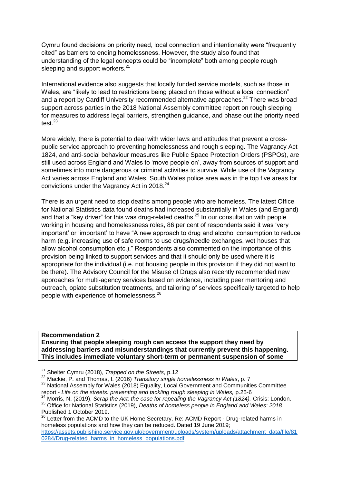Cymru found decisions on priority need, local connection and intentionality were "frequently cited" as barriers to ending homelessness. However, the study also found that understanding of the legal concepts could be "incomplete" both among people rough sleeping and support workers. $21$ 

International evidence also suggests that locally funded service models, such as those in Wales, are "likely to lead to restrictions being placed on those without a local connection" and a report by Cardiff University recommended alternative approaches.<sup>22</sup> There was broad support across parties in the 2018 National Assembly committee report on rough sleeping for measures to address legal barriers, strengthen guidance, and phase out the priority need test $^{23}$ 

More widely, there is potential to deal with wider laws and attitudes that prevent a crosspublic service approach to preventing homelessness and rough sleeping. The Vagrancy Act 1824, and anti-social behaviour measures like Public Space Protection Orders (PSPOs), are still used across England and Wales to 'move people on', away from sources of support and sometimes into more dangerous or criminal activities to survive. While use of the Vagrancy Act varies across England and Wales, South Wales police area was in the top five areas for convictions under the Vagrancy Act in 2018.<sup>24</sup>

There is an urgent need to stop deaths among people who are homeless. The latest Office for National Statistics data found deaths had increased substantially in Wales (and England) and that a "key driver" for this was drug-related deaths.<sup>25</sup> In our consultation with people working in housing and homelessness roles, 86 per cent of respondents said it was 'very important' or 'important' to have "A new approach to drug and alcohol consumption to reduce harm (e.g. increasing use of safe rooms to use drugs/needle exchanges, wet houses that allow alcohol consumption etc.)." Respondents also commented on the importance of this provision being linked to support services and that it should only be used where it is appropriate for the individual (i.e. not housing people in this provision if they did not want to be there). The Advisory Council for the Misuse of Drugs also recently recommended new approaches for multi-agency services based on evidence, including peer mentoring and outreach, opiate substitution treatments, and tailoring of services specifically targeted to help people with experience of homelessness.<sup>26</sup>

**Recommendation 2 Ensuring that people sleeping rough can access the support they need by addressing barriers and misunderstandings that currently prevent this happening. This includes immediate voluntary short-term or permanent suspension of some** 

**.** 

<sup>21</sup> Shelter Cymru (2018), *Trapped on the Streets*, p.12

<sup>22</sup> Mackie, P. and Thomas, I. (2016) *Transitory single homelessness in Wales*, p. 7

<sup>&</sup>lt;sup>23</sup> National Assembly for Wales (2018) Equality, Local Government and Communities Committee report - *Life on the streets: preventing and tackling rough sleeping in Wales,* p.25-6

<sup>&</sup>lt;sup>24</sup> Morris, N. (2019), *Scrap the Act: the case for repealing the Vagrancy Act (1824)*. Crisis: London.

<sup>25</sup> Office for National Statistics (2019), *Deaths of homeless people in England and Wales: 2018*. Published 1 October 2019.

<sup>26</sup> Letter from the ACMD to the UK Home Secretary, Re: ACMD Report - Drug-related harms in homeless populations and how they can be reduced. Dated 19 June 2019; [https://assets.publishing.service.gov.uk/government/uploads/system/uploads/attachment\\_data/file/81](https://assets.publishing.service.gov.uk/government/uploads/system/uploads/attachment_data/file/810284/Drug-related_harms_in_homeless_populations.pdf) [0284/Drug-related\\_harms\\_in\\_homeless\\_populations.pdf](https://assets.publishing.service.gov.uk/government/uploads/system/uploads/attachment_data/file/810284/Drug-related_harms_in_homeless_populations.pdf)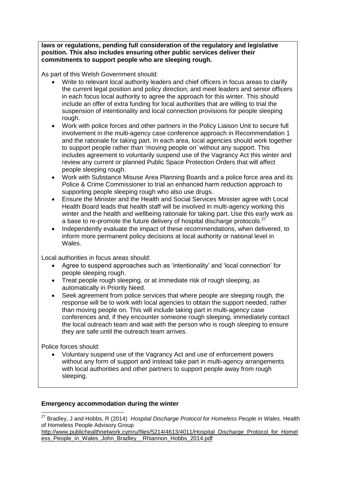**laws or regulations, pending full consideration of the regulatory and legislative position. This also includes ensuring other public services deliver their commitments to support people who are sleeping rough.**

As part of this Welsh Government should:

- Write to relevant local authority leaders and chief officers in focus areas to clarify the current legal position and policy direction; and meet leaders and senior officers in each focus local authority to agree the approach for this winter. This should include an offer of extra funding for local authorities that are willing to trial the suspension of intentionality and local connection provisions for people sleeping rough.
- Work with police forces and other partners in the Policy Liaison Unit to secure full involvement in the multi-agency case conference approach in Recommendation 1 and the rationale for taking part. In each area, local agencies should work together to support people rather than 'moving people on' without any support. This includes agreement to voluntarily suspend use of the Vagrancy Act this winter and review any current or planned Public Space Protection Orders that will affect people sleeping rough.
- Work with Substance Misuse Area Planning Boards and a police force area and its Police & Crime Commissioner to trial an enhanced harm reduction approach to supporting people sleeping rough who also use drugs.
- Ensure the Minister and the Health and Social Services Minister agree with Local Health Board leads that health staff will be involved in multi-agency working this winter and the health and wellbeing rationale for taking part. Use this early work as a base to re-promote the future delivery of hospital discharge protocols. $^{27}$
- Independently evaluate the impact of these recommendations, when delivered, to inform more permanent policy decisions at local authority or national level in Wales.

Local authorities in focus areas should:

- Agree to suspend approaches such as 'intentionality' and 'local connection' for people sleeping rough.
- Treat people rough sleeping, or at immediate risk of rough sleeping, as automatically in Priority Need.
- Seek agreement from police services that where people are sleeping rough, the response will be to work with local agencies to obtain the support needed, rather than moving people on. This will include taking part in multi-agency case conferences and, if they encounter someone rough sleeping, immediately contact the local outreach team and wait with the person who is rough sleeping to ensure they are safe until the outreach team arrives.

Police forces should:

 Voluntary suspend use of the Vagrancy Act and use of enforcement powers without any form of support and instead take part in multi-agency arrangements with local authorities and other partners to support people away from rough sleeping.

# **Emergency accommodation during the winter**

 $\overline{\phantom{a}}$ <sup>27</sup> Bradley, J and Hobbs, R (2014) *Hospital Discharge Protocol for Homeless People in Wales*. Health of Homeless People Advisory Group

[http://www.publichealthnetwork.cymru/files/5214/4613/4011/Hospital\\_Discharge\\_Protocol\\_for\\_Homel](http://www.publichealthnetwork.cymru/files/5214/4613/4011/Hospital_Discharge_Protocol_for_Homeless_People_in_Wales_John_Bradley__Rhiannon_Hobbs_2014.pdf) [ess\\_People\\_in\\_Wales\\_John\\_Bradley\\_\\_Rhiannon\\_Hobbs\\_2014.pdf](http://www.publichealthnetwork.cymru/files/5214/4613/4011/Hospital_Discharge_Protocol_for_Homeless_People_in_Wales_John_Bradley__Rhiannon_Hobbs_2014.pdf)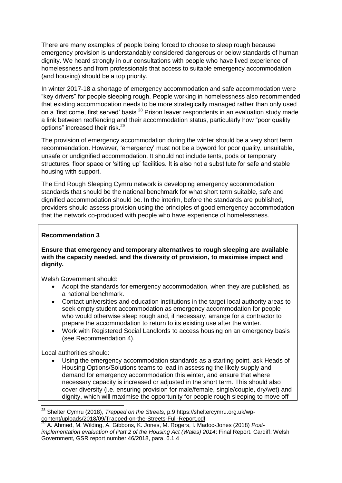There are many examples of people being forced to choose to sleep rough because emergency provision is understandably considered dangerous or below standards of human dignity. We heard strongly in our consultations with people who have lived experience of homelessness and from professionals that access to suitable emergency accommodation (and housing) should be a top priority.

In winter 2017-18 a shortage of emergency accommodation and safe accommodation were "key drivers" for people sleeping rough. People working in homelessness also recommended that existing accommodation needs to be more strategically managed rather than only used on a 'first come, first served' basis.<sup>28</sup> Prison leaver respondents in an evaluation study made a link between reoffending and their accommodation status, particularly how "poor quality options" increased their risk.<sup>29</sup>

The provision of emergency accommodation during the winter should be a very short term recommendation. However, 'emergency' must not be a byword for poor quality, unsuitable, unsafe or undignified accommodation. It should not include tents, pods or temporary structures, floor space or 'sitting up' facilities. It is also not a substitute for safe and stable housing with support.

The End Rough Sleeping Cymru network is developing emergency accommodation standards that should be the national benchmark for what short term suitable, safe and dignified accommodation should be. In the interim, before the standards are published, providers should assess provision using the principles of good emergency accommodation that the network co-produced with people who have experience of homelessness.

#### **Recommendation 3**

**Ensure that emergency and temporary alternatives to rough sleeping are available with the capacity needed, and the diversity of provision, to maximise impact and dignity.**

Welsh Government should:

- Adopt the standards for emergency accommodation, when they are published, as a national benchmark.
- Contact universities and education institutions in the target local authority areas to seek empty student accommodation as emergency accommodation for people who would otherwise sleep rough and, if necessary, arrange for a contractor to prepare the accommodation to return to its existing use after the winter.
- Work with Registered Social Landlords to access housing on an emergency basis (see Recommendation 4).

Local authorities should:

**.** 

 Using the emergency accommodation standards as a starting point, ask Heads of Housing Options/Solutions teams to lead in assessing the likely supply and demand for emergency accommodation this winter, and ensure that where necessary capacity is increased or adjusted in the short term. This should also cover diversity (i.e. ensuring provision for male/female, single/couple, dry/wet) and dignity, which will maximise the opportunity for people rough sleeping to move off

<sup>28</sup> Shelter Cymru (2018), *Trapped on the Streets*, p.9 [https://sheltercymru.org.uk/wp](https://sheltercymru.org.uk/wp-content/uploads/2018/09/Trapped-on-the-Streets-Full-Report.pdf)[content/uploads/2018/09/Trapped-on-the-Streets-Full-Report.pdf](https://sheltercymru.org.uk/wp-content/uploads/2018/09/Trapped-on-the-Streets-Full-Report.pdf)

A. Ahmed, M. Wilding, A. Gibbons, K. Jones, M. Rogers, I. Madoc-Jones (2018) Post*implementation evaluation of Part 2 of the Housing Act (Wales) 2014*: Final Report. Cardiff: Welsh Government, GSR report number 46/2018, para. 6.1.4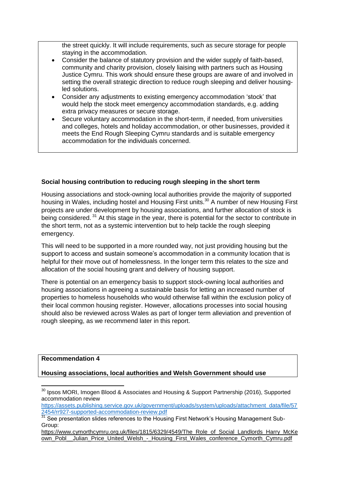the street quickly. It will include requirements, such as secure storage for people staying in the accommodation.

- Consider the balance of statutory provision and the wider supply of faith-based, community and charity provision, closely liaising with partners such as Housing Justice Cymru. This work should ensure these groups are aware of and involved in setting the overall strategic direction to reduce rough sleeping and deliver housingled solutions.
- Consider any adjustments to existing emergency accommodation 'stock' that would help the stock meet emergency accommodation standards, e.g. adding extra privacy measures or secure storage.
- Secure voluntary accommodation in the short-term, if needed, from universities and colleges, hotels and holiday accommodation, or other businesses, provided it meets the End Rough Sleeping Cymru standards and is suitable emergency accommodation for the individuals concerned.

## **Social housing contribution to reducing rough sleeping in the short term**

Housing associations and stock-owning local authorities provide the majority of supported housing in Wales, including hostel and Housing First units.<sup>30</sup> A number of new Housing First projects are under development by housing associations, and further allocation of stock is being considered. <sup>31</sup> At this stage in the year, there is potential for the sector to contribute in the short term, not as a systemic intervention but to help tackle the rough sleeping emergency.

This will need to be supported in a more rounded way, not just providing housing but the support to access and sustain someone's accommodation in a community location that is helpful for their move out of homelessness. In the longer term this relates to the size and allocation of the social housing grant and delivery of housing support.

There is potential on an emergency basis to support stock-owning local authorities and housing associations in agreeing a sustainable basis for letting an increased number of properties to homeless households who would otherwise fall within the exclusion policy of their local common housing register. However, allocations processes into social housing should also be reviewed across Wales as part of longer term alleviation and prevention of rough sleeping, as we recommend later in this report.

**Recommendation 4**

**.** 

**Housing associations, local authorities and Welsh Government should use** 

<sup>&</sup>lt;sup>30</sup> Ipsos MORI, Imogen Blood & Associates and Housing & Support Partnership (2016), Supported accommodation review

[https://assets.publishing.service.gov.uk/government/uploads/system/uploads/attachment\\_data/file/57](https://assets.publishing.service.gov.uk/government/uploads/system/uploads/attachment_data/file/572454/rr927-supported-accommodation-review.pdf) [2454/rr927-supported-accommodation-review.pdf](https://assets.publishing.service.gov.uk/government/uploads/system/uploads/attachment_data/file/572454/rr927-supported-accommodation-review.pdf)

 $31$  See presentation slides references to the Housing First Network's Housing Management Sub-Group:

[https://www.cymorthcymru.org.uk/files/1815/6329/4549/The\\_Role\\_of\\_Social\\_Landlords\\_Harry\\_McKe](https://www.cymorthcymru.org.uk/files/1815/6329/4549/The_Role_of_Social_Landlords_Harry_McKeown_Pobl__Julian_Price_United_Welsh_-_Housing_First_Wales_conference_Cymorth_Cymru.pdf) [own\\_Pobl\\_\\_Julian\\_Price\\_United\\_Welsh\\_-\\_Housing\\_First\\_Wales\\_conference\\_Cymorth\\_Cymru.pdf](https://www.cymorthcymru.org.uk/files/1815/6329/4549/The_Role_of_Social_Landlords_Harry_McKeown_Pobl__Julian_Price_United_Welsh_-_Housing_First_Wales_conference_Cymorth_Cymru.pdf)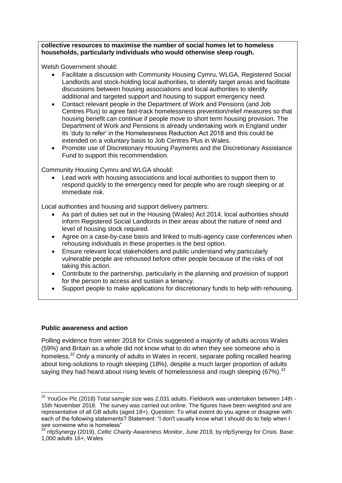**collective resources to maximise the number of social homes let to homeless households, particularly individuals who would otherwise sleep rough.**

Welsh Government should:

- Facilitate a discussion with Community Housing Cymru, WLGA, Registered Social Landlords and stock-holding local authorities, to identify target areas and facilitate discussions between housing associations and local authorities to identify additional and targeted support and housing to support emergency need.
- Contact relevant people in the Department of Work and Pensions (and Job Centres Plus) to agree fast-track homelessness prevention/relief measures so that housing benefit can continue if people move to short term housing provision. The Department of Work and Pensions is already undertaking work in England under its 'duty to refer' in the Homelessness Reduction Act 2018 and this could be extended on a voluntary basis to Job Centres Plus in Wales.
- Promote use of Discretionary Housing Payments and the Discretionary Assistance Fund to support this recommendation.

Community Housing Cymru and WLGA should:

 Lead work with housing associations and local authorities to support them to respond quickly to the emergency need for people who are rough sleeping or at immediate risk.

Local authorities and housing and support delivery partners:

- As part of duties set out in the Housing (Wales) Act 2014, local authorities should inform Registered Social Landlords in their areas about the nature of need and level of housing stock required.
- Agree on a case-by-case basis and linked to multi-agency case conferences when rehousing individuals in these properties is the best option.
- Ensure relevant local stakeholders and public understand why particularly vulnerable people are rehoused before other people because of the risks of not taking this action.
- Contribute to the partnership, particularly in the planning and provision of support for the person to access and sustain a tenancy.
- Support people to make applications for discretionary funds to help with rehousing.

#### **Public awareness and action**

**.** 

Polling evidence from winter 2018 for Crisis suggested a majority of adults across Wales (59%) and Britain as a whole did not know what to do when they see someone who is homeless.<sup>32</sup> Only a minority of adults in Wales in recent, separate polling recalled hearing about long-solutions to rough sleeping (18%), despite a much larger proportion of adults saying they had heard about rising levels of homelessness and rough sleeping (67%).<sup>33</sup>

 $32$  YouGov Plc (2018) Total sample size was 2,031 adults. Fieldwork was undertaken between 14th -15th November 2018. The survey was carried out online. The figures have been weighted and are representative of all GB adults (aged 18+). Question: To what extent do you agree or disagree with each of the following statements? Statement: "I don't usually know what I should do to help when I see someone who is homeless"

<sup>33</sup> nfpSynergy (2019), *Celtic Charity Awareness Monitor*, June 2019, by nfpSynergy for Crisis. Base: 1,000 adults 16+, Wales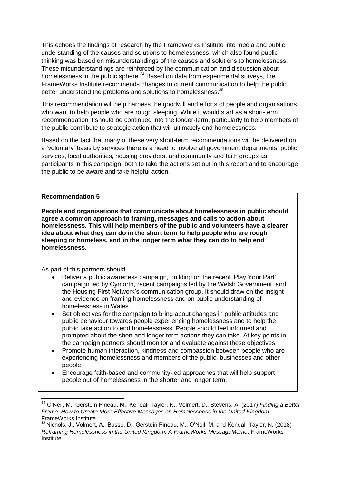This echoes the findings of research by the FrameWorks Institute into media and public understanding of the causes and solutions to homelessness, which also found public thinking was based on misunderstandings of the causes and solutions to homelessness. These misunderstandings are reinforced by the communication and discussion about homelessness in the public sphere. $34$  Based on data from experimental surveys, the FrameWorks Institute recommends changes to current communication to help the public better understand the problems and solutions to homelessness.<sup>35</sup>

This recommendation will help harness the goodwill and efforts of people and organisations who want to help people who are rough sleeping. While it would start as a short-term recommendation it should be continued into the longer-term, particularly to help members of the public contribute to strategic action that will ultimately end homelessness.

Based on the fact that many of these very short-term recommendations will be delivered on a 'voluntary' basis by services there is a need to involve all government departments, public services, local authorities, housing providers, and community and faith groups as participants in this campaign, both to take the actions set out in this report and to encourage the public to be aware and take helpful action.

#### **Recommendation 5**

**People and organisations that communicate about homelessness in public should agree a common approach to framing, messages and calls to action about homelessness. This will help members of the public and volunteers have a clearer idea about what they can do in the short term to help people who are rough sleeping or homeless, and in the longer term what they can do to help end homelessness.** 

As part of this partners should:

 $\overline{\phantom{a}}$ 

- Deliver a public awareness campaign, building on the recent 'Play Your Part' campaign led by Cymorth, recent campaigns led by the Welsh Government, and the Housing First Network's communication group. It should draw on the insight and evidence on framing homelessness and on public understanding of homelessness in Wales.
- Set objectives for the campaign to bring about changes in public attitudes and public behaviour towards people experiencing homelessness and to help the public take action to end homelessness. People should feel informed and prompted about the short and longer term actions they can take. At key points in the campaign partners should monitor and evaluate against these objectives.
- Promote human interaction, kindness and compassion between people who are experiencing homelessness and members of the public, businesses and other people
- Encourage faith-based and community-led approaches that will help support people out of homelessness in the shorter and longer term.

<sup>34</sup> O'Neil, M., Gerstein Pineau, M., Kendall-Taylor, N., Volmert, D., Stevens, A. (2017) *Finding a Better Frame: How to Create More Effective Messages on Homelessness in the United Kingdom*. FrameWorks Institute.

<sup>&</sup>lt;sup>35</sup> Nichols, J., Volmert, A., Busso, D., Gerstein Pineau, M., O'Neil, M. and Kendall-Taylor, N. (2018) *Reframing Homelessness in the United Kingdom: A FrameWorks MessageMemo*. FrameWorks Institute.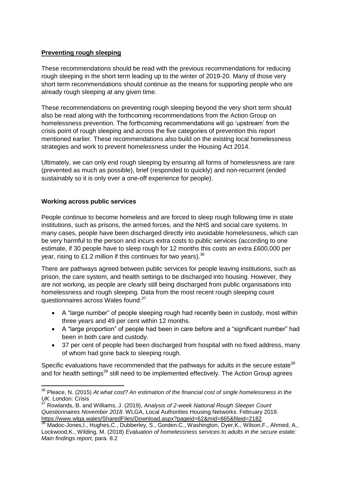## **Preventing rough sleeping**

These recommendations should be read with the previous recommendations for reducing rough sleeping in the short term leading up to the winter of 2019-20. Many of those very short term recommendations should continue as the means for supporting people who are already rough sleeping at any given time.

These recommendations on preventing rough sleeping beyond the very short term should also be read along with the forthcoming recommendations from the Action Group on homelessness prevention. The forthcoming recommendations will go 'upstream' from the crisis point of rough sleeping and across the five categories of prevention this report mentioned earlier. These recommendations also build on the existing local homelessness strategies and work to prevent homelessness under the Housing Act 2014.

Ultimately, we can only end rough sleeping by ensuring all forms of homelessness are rare (prevented as much as possible), brief (responded to quickly) and non-recurrent (ended sustainably so it is only ever a one-off experience for people).

## **Working across public services**

People continue to become homeless and are forced to sleep rough following time in state institutions, such as prisons, the armed forces, and the NHS and social care systems. In many cases, people have been discharged directly into avoidable homelessness, which can be very harmful to the person and incurs extra costs to public services (according to one estimate, if 30 people have to sleep rough for 12 months this costs an extra £600,000 per year, rising to £1.2 million if this continues for two years).  $36$ 

There are pathways agreed between public services for people leaving institutions, such as prison, the care system, and health settings to be discharged into housing. However, they are not working, as people are clearly still being discharged from public organisations into homelessness and rough sleeping. Data from the most recent rough sleeping count questionnaires across Wales found: 37

- A "large number" of people sleeping rough had recently been in custody, most within three years and 49 per cent within 12 months.
- A "large proportion" of people had been in care before and a "significant number" had been in both care and custody.
- 37 per cent of people had been discharged from hospital with no fixed address, many of whom had gone back to sleeping rough.

Specific evaluations have recommended that the pathways for adults in the secure estate<sup>38</sup> and for health settings<sup>39</sup> still need to be implemented effectively. The Action Group agrees

**<sup>.</sup>** <sup>36</sup> Pleace, N. (2015) *At what cost? An estimation of the financial cost of single homelessness in the UK*. London: Crisis

<sup>37</sup> Rowlands, B. and Williams, J. (2019), *Analysis of 2-week National Rough Sleeper Count Questionnaires November 2018*. WLGA, Local Authorities Housing Networks. February 2019. https://www.wlga.wales/SharedFiles/Download.aspx?pageid=62&mid=665&fileid=2182

<sup>38</sup> Madoc-Jones, I., Hughes, C., Dubberley, S., Gorden.C., Washington, Dyer, K., Wilson, F., Ahmed, A., Lockwood,K., Wilding, M. (2018) *Evaluation of homelessness services to adults in the secure estate: Main findings report*, para. 8.2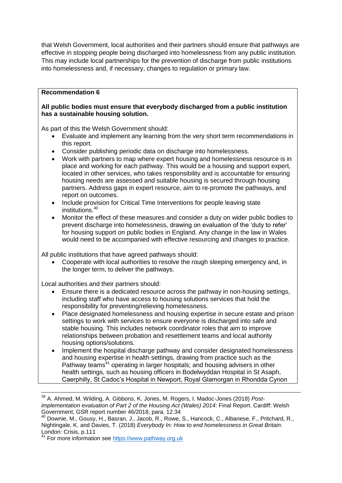that Welsh Government, local authorities and their partners should ensure that pathways are effective in stopping people being discharged into homelessness from any public institution. This may include local partnerships for the prevention of discharge from public institutions into homelessness and, if necessary, changes to regulation or primary law.

## **Recommendation 6**

#### **All public bodies must ensure that everybody discharged from a public institution has a sustainable housing solution.**

As part of this the Welsh Government should:

- Evaluate and implement any learning from the very short term recommendations in this report.
- Consider publishing periodic data on discharge into homelessness.
- Work with partners to map where expert housing and homelessness resource is in place and working for each pathway. This would be a housing and support expert, located in other services, who takes responsibility and is accountable for ensuring housing needs are assessed and suitable housing is secured through housing partners. Address gaps in expert resource, aim to re-promote the pathways, and report on outcomes.
- Include provision for Critical Time Interventions for people leaving state institutions.<sup>40</sup>
- Monitor the effect of these measures and consider a duty on wider public bodies to prevent discharge into homelessness, drawing on evaluation of the 'duty to refer' for housing support on public bodies in England. Any change in the law in Wales would need to be accompanied with effective resourcing and changes to practice.

All public institutions that have agreed pathways should:

 Cooperate with local authorities to resolve the rough sleeping emergency and, in the longer term, to deliver the pathways.

Local authorities and their partners should:

- Ensure there is a dedicated resource across the pathway in non-housing settings, including staff who have access to housing solutions services that hold the responsibility for preventing/relieving homelessness.
- Place designated homelessness and housing expertise in secure estate and prison settings to work with services to ensure everyone is discharged into safe and stable housing. This includes network coordinator roles that aim to improve relationships between probation and resettlement teams and local authority housing options/solutions.
- Implement the hospital discharge pathway and consider designated homelessness and housing expertise in health settings, drawing from practice such as the Pathway teams<sup>41</sup> operating in larger hospitals; and housing advisers in other health settings, such as housing officers in Bodelwyddan Hospital in St Asaph, Caerphilly, St Cadoc's Hospital in Newport, Royal Glamorgan in Rhondda Cynon

 $\overline{\phantom{a}}$ 

<sup>39</sup> A. Ahmed, M. Wilding, A. Gibbons, K. Jones, M. Rogers, I. Madoc-Jones (2018) *Postimplementation evaluation of Part 2 of the Housing Act (Wales) 2014*: Final Report. Cardiff: Welsh Government, GSR report number 46/2018, para. 12.34

<sup>40</sup> Downie, M., Gousy, H., Basran, J., Jacob, R., Rowe, S., Hancock, C., Albanese, F., Pritchard, R., Nightingale, K. and Davies, T. (2018) *Everybody In: How to end homelessness in Great Britain*. London: Crisis, p.111

<sup>&</sup>lt;sup>41</sup> For more information see [https://www.pathway.org.uk](https://www.pathway.org.uk/)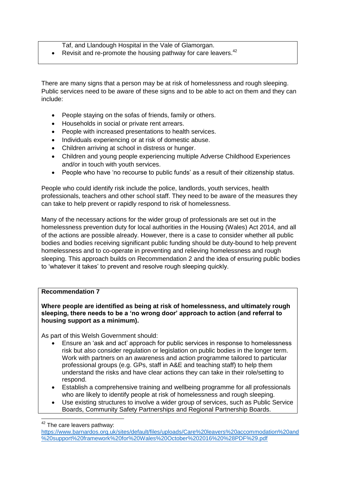Taf, and Llandough Hospital in the Vale of Glamorgan.

Revisit and re-promote the housing pathway for care leavers.<sup>42</sup>

There are many signs that a person may be at risk of homelessness and rough sleeping. Public services need to be aware of these signs and to be able to act on them and they can include:

- People staying on the sofas of friends, family or others.
- Households in social or private rent arrears.
- People with increased presentations to health services.
- Individuals experiencing or at risk of domestic abuse.
- Children arriving at school in distress or hunger.
- Children and young people experiencing multiple Adverse Childhood Experiences and/or in touch with youth services.
- People who have 'no recourse to public funds' as a result of their citizenship status.

People who could identify risk include the police, landlords, youth services, health professionals, teachers and other school staff. They need to be aware of the measures they can take to help prevent or rapidly respond to risk of homelessness.

Many of the necessary actions for the wider group of professionals are set out in the homelessness prevention duty for local authorities in the Housing (Wales) Act 2014, and all of the actions are possible already. However, there is a case to consider whether all public bodies and bodies receiving significant public funding should be duty-bound to help prevent homelessness and to co-operate in preventing and relieving homelessness and rough sleeping. This approach builds on Recommendation 2 and the idea of ensuring public bodies to 'whatever it takes' to prevent and resolve rough sleeping quickly.

#### **Recommendation 7**

**Where people are identified as being at risk of homelessness, and ultimately rough sleeping, there needs to be a 'no wrong door' approach to action (and referral to housing support as a minimum).** 

As part of this Welsh Government should:

- Ensure an 'ask and act' approach for public services in response to homelessness risk but also consider regulation or legislation on public bodies in the longer term. Work with partners on an awareness and action programme tailored to particular professional groups (e.g. GPs, staff in A&E and teaching staff) to help them understand the risks and have clear actions they can take in their role/setting to respond.
- Establish a comprehensive training and wellbeing programme for all professionals who are likely to identify people at risk of homelessness and rough sleeping.
- Use existing structures to involve a wider group of services, such as Public Service Boards, Community Safety Partnerships and Regional Partnership Boards.

 $\overline{\phantom{a}}$  $42$  The care leavers pathway:

[https://www.barnardos.org.uk/sites/default/files/uploads/Care%20leavers%20accommodation%20and](https://www.barnardos.org.uk/sites/default/files/uploads/Care%20leavers%20accommodation%20and%20support%20framework%20for%20Wales%20October%202016%20%28PDF%29.pdf) [%20support%20framework%20for%20Wales%20October%202016%20%28PDF%29.pdf](https://www.barnardos.org.uk/sites/default/files/uploads/Care%20leavers%20accommodation%20and%20support%20framework%20for%20Wales%20October%202016%20%28PDF%29.pdf)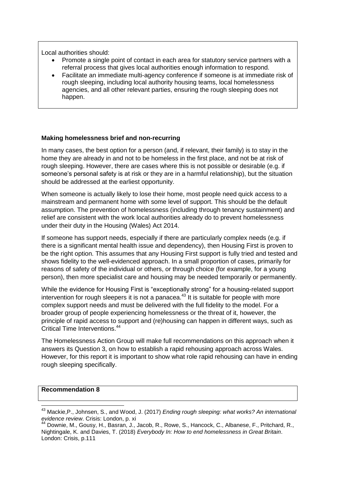Local authorities should:

- Promote a single point of contact in each area for statutory service partners with a referral process that gives local authorities enough information to respond.
- Facilitate an immediate multi-agency conference if someone is at immediate risk of rough sleeping, including local authority housing teams, local homelessness agencies, and all other relevant parties, ensuring the rough sleeping does not happen.

#### **Making homelessness brief and non-recurring**

In many cases, the best option for a person (and, if relevant, their family) is to stay in the home they are already in and not to be homeless in the first place, and not be at risk of rough sleeping. However, there are cases where this is not possible or desirable (e.g. if someone's personal safety is at risk or they are in a harmful relationship), but the situation should be addressed at the earliest opportunity.

When someone is actually likely to lose their home, most people need quick access to a mainstream and permanent home with some level of support. This should be the default assumption. The prevention of homelessness (including through tenancy sustainment) and relief are consistent with the work local authorities already do to prevent homelessness under their duty in the Housing (Wales) Act 2014.

If someone has support needs, especially if there are particularly complex needs (e.g. if there is a significant mental health issue and dependency), then Housing First is proven to be the right option. This assumes that any Housing First support is fully tried and tested and shows fidelity to the well-evidenced approach. In a small proportion of cases, primarily for reasons of safety of the individual or others, or through choice (for example, for a young person), then more specialist care and housing may be needed temporarily or permanently.

While the evidence for Housing First is "exceptionally strong" for a housing-related support intervention for rough sleepers it is not a panacea.<sup>43</sup> It is suitable for people with more complex support needs and must be delivered with the full fidelity to the model. For a broader group of people experiencing homelessness or the threat of it, however, the principle of rapid access to support and (re)housing can happen in different ways, such as Critical Time Interventions.<sup>44</sup>

The Homelessness Action Group will make full recommendations on this approach when it answers its Question 3, on how to establish a rapid rehousing approach across Wales. However, for this report it is important to show what role rapid rehousing can have in ending rough sleeping specifically.

#### **Recommendation 8**

**<sup>.</sup>** <sup>43</sup> Mackie,P., Johnsen, S., and Wood, J. (2017) *Ending rough sleeping: what works? An international evidence review*. Crisis: London, p. xi

<sup>44</sup> Downie, M., Gousy, H., Basran, J., Jacob, R., Rowe, S., Hancock, C., Albanese, F., Pritchard, R., Nightingale, K. and Davies, T. (2018) *Everybody In: How to end homelessness in Great Britain*. London: Crisis, p.111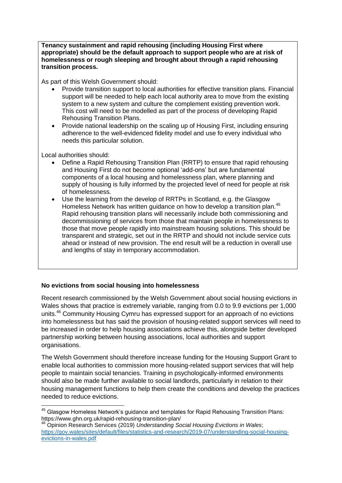**Tenancy sustainment and rapid rehousing (including Housing First where appropriate) should be the default approach to support people who are at risk of homelessness or rough sleeping and brought about through a rapid rehousing transition process.**

As part of this Welsh Government should:

- Provide transition support to local authorities for effective transition plans. Financial support will be needed to help each local authority area to move from the existing system to a new system and culture the complement existing prevention work. This cost will need to be modelled as part of the process of developing Rapid Rehousing Transition Plans.
- Provide national leadership on the scaling up of Housing First, including ensuring adherence to the well-evidenced fidelity model and use fo every individual who needs this particular solution.

Local authorities should:

**.** 

- Define a Rapid Rehousing Transition Plan (RRTP) to ensure that rapid rehousing and Housing First do not become optional 'add-ons' but are fundamental components of a local housing and homelessness plan, where planning and supply of housing is fully informed by the projected level of need for people at risk of homelessness.
- Use the learning from the develop of RRTPs in Scotland, e.g. the Glasgow Homeless Network has written guidance on how to develop a transition plan.<sup>45</sup> Rapid rehousing transition plans will necessarily include both commissioning and decommissioning of services from those that maintain people in homelessness to those that move people rapidly into mainstream housing solutions. This should be transparent and strategic, set out in the RRTP and should not include service cuts ahead or instead of new provision. The end result will be a reduction in overall use and lengths of stay in temporary accommodation.

# **No evictions from social housing into homelessness**

Recent research commissioned by the Welsh Government about social housing evictions in Wales shows that practice is extremely variable, ranging from 0.0 to 9.9 evictions per 1,000 units.<sup>46</sup> Community Housing Cymru has expressed support for an approach of no evictions into homelessness but has said the provision of housing-related support services will need to be increased in order to help housing associations achieve this, alongside better developed partnership working between housing associations, local authorities and support organisations.

The Welsh Government should therefore increase funding for the Housing Support Grant to enable local authorities to commission more housing-related support services that will help people to maintain social tenancies. Training in psychologically-informed environments should also be made further available to social landlords, particularly in relation to their housing management functions to help them create the conditions and develop the practices needed to reduce evictions.

 $45$  Glasgow Homeless Network's guidance and templates for Rapid Rehousing Transition Plans: https://www.ghn.org.uk/rapid-rehousing-transition-plan/

<sup>46</sup> Opinion Research Services (2019) *Understanding Social Housing Evictions in Wales*; [https://gov.wales/sites/default/files/statistics-and-research/2019-07/understanding-social-housing](https://gov.wales/sites/default/files/statistics-and-research/2019-07/understanding-social-housing-evictions-in-wales.pdf)[evictions-in-wales.pdf](https://gov.wales/sites/default/files/statistics-and-research/2019-07/understanding-social-housing-evictions-in-wales.pdf)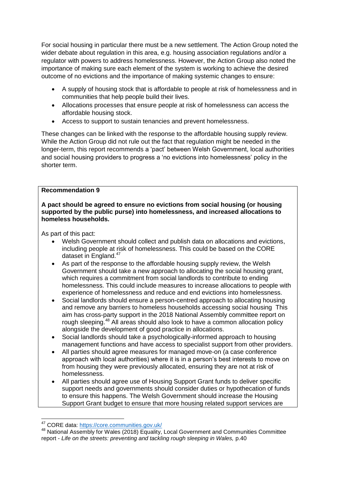For social housing in particular there must be a new settlement. The Action Group noted the wider debate about regulation in this area, e.g. housing association regulations and/or a regulator with powers to address homelessness. However, the Action Group also noted the importance of making sure each element of the system is working to achieve the desired outcome of no evictions and the importance of making systemic changes to ensure:

- A supply of housing stock that is affordable to people at risk of homelessness and in communities that help people build their lives.
- Allocations processes that ensure people at risk of homelessness can access the affordable housing stock.
- Access to support to sustain tenancies and prevent homelessness.

These changes can be linked with the response to the affordable housing supply review. While the Action Group did not rule out the fact that regulation might be needed in the longer-term, this report recommends a 'pact' between Welsh Government, local authorities and social housing providers to progress a 'no evictions into homelessness' policy in the shorter term.

#### **Recommendation 9**

#### **A pact should be agreed to ensure no evictions from social housing (or housing supported by the public purse) into homelessness, and increased allocations to homeless households.**

As part of this pact:

- Welsh Government should collect and publish data on allocations and evictions, including people at risk of homelessness. This could be based on the CORE dataset in England.<sup>47</sup>
- As part of the response to the affordable housing supply review, the Welsh Government should take a new approach to allocating the social housing grant, which requires a commitment from social landlords to contribute to ending homelessness. This could include measures to increase allocations to people with experience of homelessness and reduce and end evictions into homelessness.
- Social landlords should ensure a person-centred approach to allocating housing and remove any barriers to homeless households accessing social housing This aim has cross-party support in the 2018 National Assembly committee report on rough sleeping.<sup>48</sup> All areas should also look to have a common allocation policy alongside the development of good practice in allocations.
- Social landlords should take a psychologically-informed approach to housing management functions and have access to specialist support from other providers.
- All parties should agree measures for managed move-on (a case conference approach with local authorities) where it is in a person's best interests to move on from housing they were previously allocated, ensuring they are not at risk of homelessness.
- All parties should agree use of Housing Support Grant funds to deliver specific support needs and governments should consider duties or hypothecation of funds to ensure this happens. The Welsh Government should increase the Housing Support Grant budget to ensure that more housing related support services are

 $\overline{\phantom{a}}$ <sup>47</sup> CORE data:<https://core.communities.gov.uk/>

<sup>48</sup> National Assembly for Wales (2018) Equality, Local Government and Communities Committee report - Life on the streets: preventing and tackling rough sleeping in Wales, p.40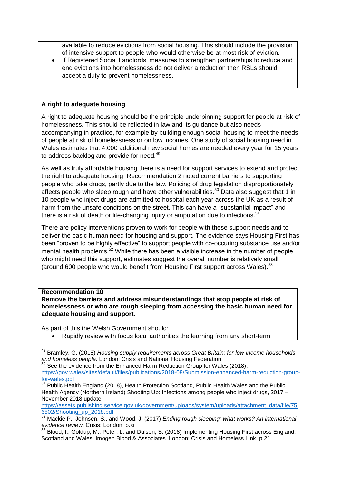available to reduce evictions from social housing. This should include the provision of intensive support to people who would otherwise be at most risk of eviction.

• If Registered Social Landlords' measures to strengthen partnerships to reduce and end evictions into homelessness do not deliver a reduction then RSLs should accept a duty to prevent homelessness.

## **A right to adequate housing**

A right to adequate housing should be the principle underpinning support for people at risk of homelessness. This should be reflected in law and its guidance but also needs accompanying in practice, for example by building enough social housing to meet the needs of people at risk of homelessness or on low incomes. One study of social housing need in Wales estimates that 4,000 additional new social homes are needed every year for 15 years to address backlog and provide for need.<sup>49</sup>

As well as truly affordable housing there is a need for support services to extend and protect the right to adequate housing. Recommendation 2 noted current barriers to supporting people who take drugs, partly due to the law. Policing of drug legislation disproportionately affects people who sleep rough and have other vulnerabilities.<sup>50</sup> Data also suggest that 1 in 10 people who inject drugs are admitted to hospital each year across the UK as a result of harm from the unsafe conditions on the street. This can have a "substantial impact" and there is a risk of death or life-changing injury or amputation due to infections.<sup>51</sup>

There are policy interventions proven to work for people with these support needs and to deliver the basic human need for housing and support. The evidence says Housing First has been "proven to be highly effective" to support people with co-occuring substance use and/or mental health problems.<sup>52</sup> While there has been a visible increase in the number of people who might need this support, estimates suggest the overall number is relatively small (around 600 people who would benefit from Housing First support across Wales).<sup>53</sup>

### **Recommendation 10**

 $\overline{\phantom{a}}$ 

**Remove the barriers and address misunderstandings that stop people at risk of homelessness or who are rough sleeping from accessing the basic human need for adequate housing and support.** 

As part of this the Welsh Government should:

Rapidly review with focus local authorities the learning from any short-term

[https://assets.publishing.service.gov.uk/government/uploads/system/uploads/attachment\\_data/file/75](https://assets.publishing.service.gov.uk/government/uploads/system/uploads/attachment_data/file/756502/Shooting_up_2018.pdf) [6502/Shooting\\_up\\_2018.pdf](https://assets.publishing.service.gov.uk/government/uploads/system/uploads/attachment_data/file/756502/Shooting_up_2018.pdf)

<sup>49</sup> Bramley, G. (2018) *Housing supply requirements across Great Britain: for low-income households and homeless people*. London: Crisis and National Housing Federation

 $50$  See the evidence from the Enhanced Harm Reduction Group for Wales (2018):

[https://gov.wales/sites/default/files/publications/2018-08/Submission-enhanced-harm-reduction-group](https://gov.wales/sites/default/files/publications/2018-08/Submission-enhanced-harm-reduction-group-for-wales.pdf)[for-wales.pdf](https://gov.wales/sites/default/files/publications/2018-08/Submission-enhanced-harm-reduction-group-for-wales.pdf)

 $\overline{51}$  Public Health England (2018), Health Protection Scotland, Public Health Wales and the Public Health Agency (Northern Ireland) Shooting Up: Infections among people who inject drugs, 2017 – November 2018 update

<sup>52</sup> Mackie,P., Johnsen, S., and Wood, J. (2017) *Ending rough sleeping: what works? An international evidence review*. Crisis: London, p.xii

<sup>53</sup> Blood, I., Goldup, M., Peter, L. and Dulson, S. (2018) Implementing Housing First across England, Scotland and Wales. Imogen Blood & Associates. London: Crisis and Homeless Link, p.21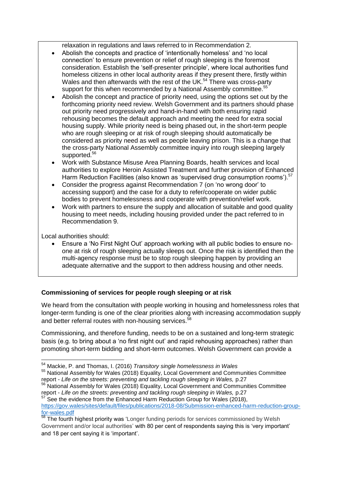relaxation in regulations and laws referred to in Recommendation 2.

- Abolish the concepts and practice of 'intentionally homeless' and 'no local connection' to ensure prevention or relief of rough sleeping is the foremost consideration. Establish the 'self-presenter principle', where local authorities fund homeless citizens in other local authority areas if they present there, firstly within Wales and then afterwards with the rest of the UK.<sup>54</sup> There was cross-party support for this when recommended by a National Assembly committee.<sup>55</sup>
- Abolish the concept and practice of priority need, using the options set out by the forthcoming priority need review. Welsh Government and its partners should phase out priority need progressively and hand-in-hand with both ensuring rapid rehousing becomes the default approach and meeting the need for extra social housing supply. While priority need is being phased out, in the short-term people who are rough sleeping or at risk of rough sleeping should automatically be considered as priority need as well as people leaving prison. This is a change that the cross-party National Assembly committee inquiry into rough sleeping largely supported.<sup>56</sup>
- Work with Substance Misuse Area Planning Boards, health services and local authorities to explore Heroin Assisted Treatment and further provision of Enhanced Harm Reduction Facilities (also known as 'supervised drug consumption rooms').<sup>57</sup>
- Consider the progress against Recommendation 7 (on 'no wrong door' to accessing support) and the case for a duty to refer/cooperate on wider public bodies to prevent homelessness and cooperate with prevention/relief work.
- Work with partners to ensure the supply and allocation of suitable and good quality housing to meet needs, including housing provided under the pact referred to in Recommendation 9.

Local authorities should:

 Ensure a 'No First Night Out' approach working with all public bodies to ensure noone at risk of rough sleeping actually sleeps out. Once the risk is identified then the multi-agency response must be to stop rough sleeping happen by providing an adequate alternative and the support to then address housing and other needs.

# **Commissioning of services for people rough sleeping or at risk**

We heard from the consultation with people working in housing and homelessness roles that longer-term funding is one of the clear priorities along with increasing accommodation supply and better referral routes with non-housing services.<sup>58</sup>

Commissioning, and therefore funding, needs to be on a sustained and long-term strategic basis (e.g. to bring about a 'no first night out' and rapid rehousing approaches) rather than promoting short-term bidding and short-term outcomes. Welsh Government can provide a

**<sup>.</sup>** <sup>54</sup> Mackie, P. and Thomas, I. (2016) *Transitory single homelessness in Wales*

<sup>55</sup> National Assembly for Wales (2018) Equality, Local Government and Communities Committee report - *Life on the streets: preventing and tackling rough sleeping in Wales,* p.27

<sup>&</sup>lt;sup>56</sup> National Assembly for Wales (2018) Equality, Local Government and Communities Committee report - *Life on the streets: preventing and tackling rough sleeping in Wales, p.27*<br><sup>57</sup> Seating and *streets: preventing and tackling rough sleeping in Wales, p.27* 

See the evidence from the Enhanced Harm Reduction Group for Wales (2018), [https://gov.wales/sites/default/files/publications/2018-08/Submission-enhanced-harm-reduction-group](https://gov.wales/sites/default/files/publications/2018-08/Submission-enhanced-harm-reduction-group-for-wales.pdf)[for-wales.pdf](https://gov.wales/sites/default/files/publications/2018-08/Submission-enhanced-harm-reduction-group-for-wales.pdf)

The fourth highest priority was 'Longer funding periods for services commissioned by Welsh Government and/or local authorities' with 80 per cent of respondents saying this is 'very important' and 18 per cent saying it is 'important'.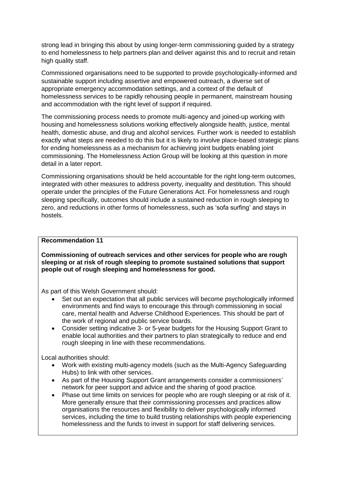strong lead in bringing this about by using longer-term commissioning guided by a strategy to end homelessness to help partners plan and deliver against this and to recruit and retain high quality staff.

Commissioned organisations need to be supported to provide psychologically-informed and sustainable support including assertive and empowered outreach, a diverse set of appropriate emergency accommodation settings, and a context of the default of homelessness services to be rapidly rehousing people in permanent, mainstream housing and accommodation with the right level of support if required.

The commissioning process needs to promote multi-agency and joined-up working with housing and homelessness solutions working effectively alongside health, justice, mental health, domestic abuse, and drug and alcohol services. Further work is needed to establish exactly what steps are needed to do this but it is likely to involve place-based strategic plans for ending homelessness as a mechanism for achieving joint budgets enabling joint commissioning. The Homelessness Action Group will be looking at this question in more detail in a later report.

Commissioning organisations should be held accountable for the right long-term outcomes, integrated with other measures to address poverty, inequality and destitution. This should operate under the principles of the Future Generations Act. For homelessness and rough sleeping specifically, outcomes should include a sustained reduction in rough sleeping to zero, and reductions in other forms of homelessness, such as 'sofa surfing' and stays in hostels.

#### **Recommendation 11**

**Commissioning of outreach services and other services for people who are rough sleeping or at risk of rough sleeping to promote sustained solutions that support people out of rough sleeping and homelessness for good.**

As part of this Welsh Government should:

- Set out an expectation that all public services will become psychologically informed environments and find ways to encourage this through commissioning in social care, mental health and Adverse Childhood Experiences. This should be part of the work of regional and public service boards.
- Consider setting indicative 3- or 5-year budgets for the Housing Support Grant to enable local authorities and their partners to plan strategically to reduce and end rough sleeping in line with these recommendations.

Local authorities should:

- Work with existing multi-agency models (such as the Multi-Agency Safeguarding Hubs) to link with other services.
- As part of the Housing Support Grant arrangements consider a commissioners' network for peer support and advice and the sharing of good practice.
- Phase out time limits on services for people who are rough sleeping or at risk of it. More generally ensure that their commissioning processes and practices allow organisations the resources and flexibility to deliver psychologically informed services, including the time to build trusting relationships with people experiencing homelessness and the funds to invest in support for staff delivering services.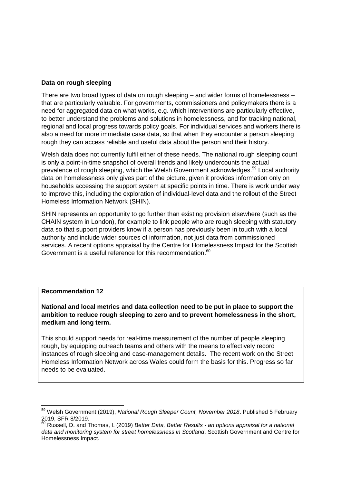## **Data on rough sleeping**

There are two broad types of data on rough sleeping – and wider forms of homelessness – that are particularly valuable. For governments, commissioners and policymakers there is a need for aggregated data on what works, e.g. which interventions are particularly effective, to better understand the problems and solutions in homelessness, and for tracking national, regional and local progress towards policy goals. For individual services and workers there is also a need for more immediate case data, so that when they encounter a person sleeping rough they can access reliable and useful data about the person and their history.

Welsh data does not currently fulfil either of these needs. The national rough sleeping count is only a point-in-time snapshot of overall trends and likely undercounts the actual prevalence of rough sleeping, which the Welsh Government acknowledges.<sup>59</sup> Local authority data on homelessness only gives part of the picture, given it provides information only on households accessing the support system at specific points in time. There is work under way to improve this, including the exploration of individual-level data and the rollout of the Street Homeless Information Network (SHIN).

SHIN represents an opportunity to go further than existing provision elsewhere (such as the CHAIN system in London), for example to link people who are rough sleeping with statutory data so that support providers know if a person has previously been in touch with a local authority and include wider sources of information, not just data from commissioned services. A recent options appraisal by the Centre for Homelessness Impact for the Scottish Government is a useful reference for this recommendation.<sup>60</sup>

#### **Recommendation 12**

**.** 

**National and local metrics and data collection need to be put in place to support the ambition to reduce rough sleeping to zero and to prevent homelessness in the short, medium and long term.**

This should support needs for real-time measurement of the number of people sleeping rough, by equipping outreach teams and others with the means to effectively record instances of rough sleeping and case-management details. The recent work on the Street Homeless Information Network across Wales could form the basis for this. Progress so far needs to be evaluated.

<sup>59</sup> Welsh Government (2019), *National Rough Sleeper Count, November 2018*. Published 5 February 2019, SFR 8/2019.

<sup>60</sup> Russell, D. and Thomas, I. (2019) *Better Data, Better Results - an options appraisal for a national data and monitoring system for street homelessness in Scotland*. Scottish Government and Centre for Homelessness Impact.